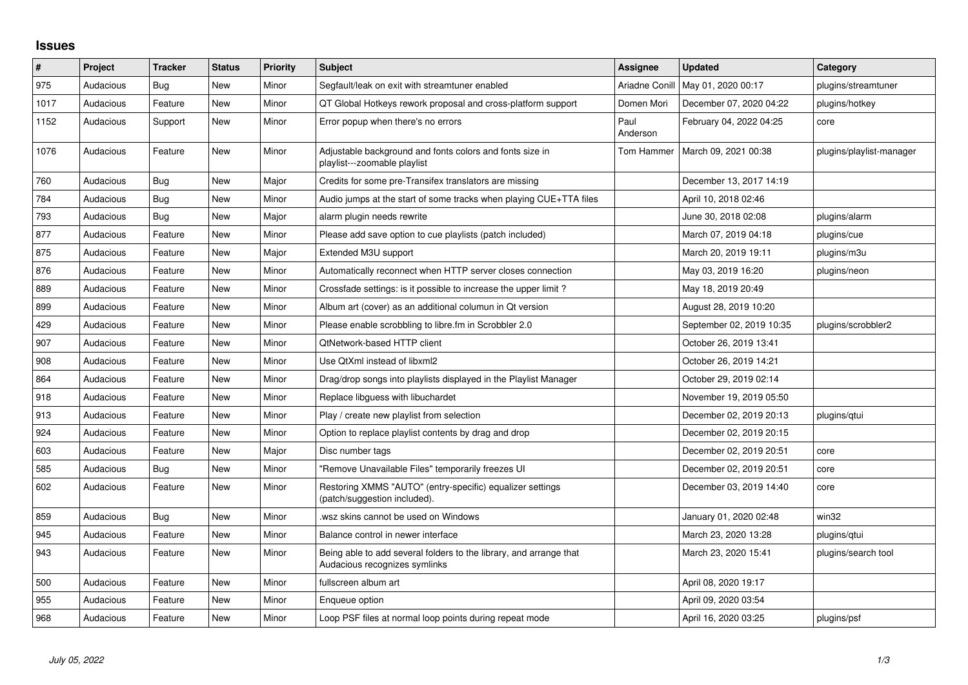## **Issues**

| #    | <b>Project</b> | <b>Tracker</b> | <b>Status</b> | <b>Priority</b> | <b>Subject</b>                                                                                      | <b>Assignee</b>  | Updated                  | Category                 |
|------|----------------|----------------|---------------|-----------------|-----------------------------------------------------------------------------------------------------|------------------|--------------------------|--------------------------|
| 975  | Audacious      | Bug            | <b>New</b>    | Minor           | Segfault/leak on exit with streamtuner enabled                                                      | Ariadne Conill   | May 01, 2020 00:17       | plugins/streamtuner      |
| 1017 | Audacious      | Feature        | <b>New</b>    | Minor           | QT Global Hotkeys rework proposal and cross-platform support                                        | Domen Mori       | December 07, 2020 04:22  | plugins/hotkey           |
| 1152 | Audacious      | Support        | New           | Minor           | Error popup when there's no errors                                                                  | Paul<br>Anderson | February 04, 2022 04:25  | core                     |
| 1076 | Audacious      | Feature        | New           | Minor           | Adjustable background and fonts colors and fonts size in<br>playlist---zoomable playlist            | Tom Hammer       | March 09, 2021 00:38     | plugins/playlist-manager |
| 760  | Audacious      | <b>Bug</b>     | New           | Major           | Credits for some pre-Transifex translators are missing                                              |                  | December 13, 2017 14:19  |                          |
| 784  | Audacious      | <b>Bug</b>     | <b>New</b>    | Minor           | Audio jumps at the start of some tracks when playing CUE+TTA files                                  |                  | April 10, 2018 02:46     |                          |
| 793  | Audacious      | <b>Bug</b>     | <b>New</b>    | Major           | alarm plugin needs rewrite                                                                          |                  | June 30, 2018 02:08      | plugins/alarm            |
| 877  | Audacious      | Feature        | New           | Minor           | Please add save option to cue playlists (patch included)                                            |                  | March 07, 2019 04:18     | plugins/cue              |
| 875  | Audacious      | Feature        | New           | Major           | Extended M3U support                                                                                |                  | March 20, 2019 19:11     | plugins/m3u              |
| 876  | Audacious      | Feature        | New           | Minor           | Automatically reconnect when HTTP server closes connection                                          |                  | May 03, 2019 16:20       | plugins/neon             |
| 889  | Audacious      | Feature        | <b>New</b>    | Minor           | Crossfade settings: is it possible to increase the upper limit?                                     |                  | May 18, 2019 20:49       |                          |
| 899  | Audacious      | Feature        | <b>New</b>    | Minor           | Album art (cover) as an additional columun in Qt version                                            |                  | August 28, 2019 10:20    |                          |
| 429  | Audacious      | Feature        | New           | Minor           | Please enable scrobbling to libre.fm in Scrobbler 2.0                                               |                  | September 02, 2019 10:35 | plugins/scrobbler2       |
| 907  | Audacious      | Feature        | <b>New</b>    | Minor           | <b>QtNetwork-based HTTP client</b>                                                                  |                  | October 26, 2019 13:41   |                          |
| 908  | Audacious      | Feature        | <b>New</b>    | Minor           | Use QtXml instead of libxml2                                                                        |                  | October 26, 2019 14:21   |                          |
| 864  | Audacious      | Feature        | <b>New</b>    | Minor           | Drag/drop songs into playlists displayed in the Playlist Manager                                    |                  | October 29, 2019 02:14   |                          |
| 918  | Audacious      | Feature        | <b>New</b>    | Minor           | Replace libguess with libuchardet                                                                   |                  | November 19, 2019 05:50  |                          |
| 913  | Audacious      | Feature        | <b>New</b>    | Minor           | Play / create new playlist from selection                                                           |                  | December 02, 2019 20:13  | plugins/qtui             |
| 924  | Audacious      | Feature        | <b>New</b>    | Minor           | Option to replace playlist contents by drag and drop                                                |                  | December 02, 2019 20:15  |                          |
| 603  | Audacious      | Feature        | <b>New</b>    | Major           | Disc number tags                                                                                    |                  | December 02, 2019 20:51  | core                     |
| 585  | Audacious      | Bug            | <b>New</b>    | Minor           | "Remove Unavailable Files" temporarily freezes UI                                                   |                  | December 02, 2019 20:51  | core                     |
| 602  | Audacious      | Feature        | <b>New</b>    | Minor           | Restoring XMMS "AUTO" (entry-specific) equalizer settings<br>(patch/suggestion included).           |                  | December 03, 2019 14:40  | core                     |
| 859  | Audacious      | Bug            | <b>New</b>    | Minor           | wsz skins cannot be used on Windows                                                                 |                  | January 01, 2020 02:48   | win32                    |
| 945  | Audacious      | Feature        | <b>New</b>    | Minor           | Balance control in newer interface                                                                  |                  | March 23, 2020 13:28     | plugins/qtui             |
| 943  | Audacious      | Feature        | New           | Minor           | Being able to add several folders to the library, and arrange that<br>Audacious recognizes symlinks |                  | March 23, 2020 15:41     | plugins/search tool      |
| 500  | Audacious      | Feature        | <b>New</b>    | Minor           | fullscreen album art                                                                                |                  | April 08, 2020 19:17     |                          |
| 955  | Audacious      | Feature        | New           | Minor           | Enqueue option                                                                                      |                  | April 09, 2020 03:54     |                          |
| 968  | Audacious      | Feature        | <b>New</b>    | Minor           | Loop PSF files at normal loop points during repeat mode                                             |                  | April 16, 2020 03:25     | plugins/psf              |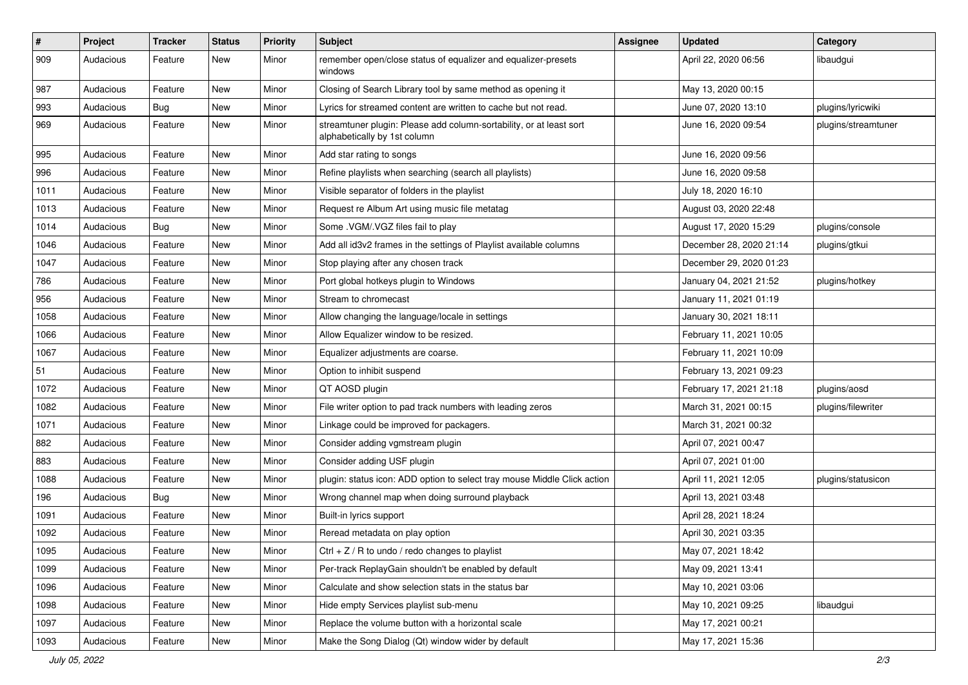| $\vert$ # | Project   | <b>Tracker</b> | <b>Status</b> | <b>Priority</b> | <b>Subject</b>                                                                                      | <b>Assignee</b> | <b>Updated</b>          | Category            |
|-----------|-----------|----------------|---------------|-----------------|-----------------------------------------------------------------------------------------------------|-----------------|-------------------------|---------------------|
| 909       | Audacious | Feature        | New           | Minor           | remember open/close status of equalizer and equalizer-presets<br>windows                            |                 | April 22, 2020 06:56    | libaudgui           |
| 987       | Audacious | Feature        | New           | Minor           | Closing of Search Library tool by same method as opening it                                         |                 | May 13, 2020 00:15      |                     |
| 993       | Audacious | Bug            | New           | Minor           | Lyrics for streamed content are written to cache but not read.                                      |                 | June 07, 2020 13:10     | plugins/lyricwiki   |
| 969       | Audacious | Feature        | New           | Minor           | streamtuner plugin: Please add column-sortability, or at least sort<br>alphabetically by 1st column |                 | June 16, 2020 09:54     | plugins/streamtuner |
| 995       | Audacious | Feature        | New           | Minor           | Add star rating to songs                                                                            |                 | June 16, 2020 09:56     |                     |
| 996       | Audacious | Feature        | New           | Minor           | Refine playlists when searching (search all playlists)                                              |                 | June 16, 2020 09:58     |                     |
| 1011      | Audacious | Feature        | New           | Minor           | Visible separator of folders in the playlist                                                        |                 | July 18, 2020 16:10     |                     |
| 1013      | Audacious | Feature        | New           | Minor           | Request re Album Art using music file metatag                                                       |                 | August 03, 2020 22:48   |                     |
| 1014      | Audacious | Bug            | New           | Minor           | Some .VGM/.VGZ files fail to play                                                                   |                 | August 17, 2020 15:29   | plugins/console     |
| 1046      | Audacious | Feature        | New           | Minor           | Add all id3v2 frames in the settings of Playlist available columns                                  |                 | December 28, 2020 21:14 | plugins/gtkui       |
| 1047      | Audacious | Feature        | New           | Minor           | Stop playing after any chosen track                                                                 |                 | December 29, 2020 01:23 |                     |
| 786       | Audacious | Feature        | New           | Minor           | Port global hotkeys plugin to Windows                                                               |                 | January 04, 2021 21:52  | plugins/hotkey      |
| 956       | Audacious | Feature        | New           | Minor           | Stream to chromecast                                                                                |                 | January 11, 2021 01:19  |                     |
| 1058      | Audacious | Feature        | New           | Minor           | Allow changing the language/locale in settings                                                      |                 | January 30, 2021 18:11  |                     |
| 1066      | Audacious | Feature        | New           | Minor           | Allow Equalizer window to be resized.                                                               |                 | February 11, 2021 10:05 |                     |
| 1067      | Audacious | Feature        | New           | Minor           | Equalizer adjustments are coarse.                                                                   |                 | February 11, 2021 10:09 |                     |
| 51        | Audacious | Feature        | New           | Minor           | Option to inhibit suspend                                                                           |                 | February 13, 2021 09:23 |                     |
| 1072      | Audacious | Feature        | New           | Minor           | QT AOSD plugin                                                                                      |                 | February 17, 2021 21:18 | plugins/aosd        |
| 1082      | Audacious | Feature        | New           | Minor           | File writer option to pad track numbers with leading zeros                                          |                 | March 31, 2021 00:15    | plugins/filewriter  |
| 1071      | Audacious | Feature        | New           | Minor           | Linkage could be improved for packagers.                                                            |                 | March 31, 2021 00:32    |                     |
| 882       | Audacious | Feature        | New           | Minor           | Consider adding vgmstream plugin                                                                    |                 | April 07, 2021 00:47    |                     |
| 883       | Audacious | Feature        | New           | Minor           | Consider adding USF plugin                                                                          |                 | April 07, 2021 01:00    |                     |
| 1088      | Audacious | Feature        | New           | Minor           | plugin: status icon: ADD option to select tray mouse Middle Click action                            |                 | April 11, 2021 12:05    | plugins/statusicon  |
| 196       | Audacious | Bug            | New           | Minor           | Wrong channel map when doing surround playback                                                      |                 | April 13, 2021 03:48    |                     |
| 1091      | Audacious | Feature        | New           | Minor           | Built-in lyrics support                                                                             |                 | April 28, 2021 18:24    |                     |
| 1092      | Audacious | Feature        | <b>New</b>    | Minor           | Reread metadata on play option                                                                      |                 | April 30, 2021 03:35    |                     |
| 1095      | Audacious | Feature        | New           | Minor           | Ctrl $+$ Z / R to undo / redo changes to playlist                                                   |                 | May 07, 2021 18:42      |                     |
| 1099      | Audacious | Feature        | New           | Minor           | Per-track ReplayGain shouldn't be enabled by default                                                |                 | May 09, 2021 13:41      |                     |
| 1096      | Audacious | Feature        | New           | Minor           | Calculate and show selection stats in the status bar                                                |                 | May 10, 2021 03:06      |                     |
| 1098      | Audacious | Feature        | New           | Minor           | Hide empty Services playlist sub-menu                                                               |                 | May 10, 2021 09:25      | libaudgui           |
| 1097      | Audacious | Feature        | New           | Minor           | Replace the volume button with a horizontal scale                                                   |                 | May 17, 2021 00:21      |                     |
| 1093      | Audacious | Feature        | New           | Minor           | Make the Song Dialog (Qt) window wider by default                                                   |                 | May 17, 2021 15:36      |                     |